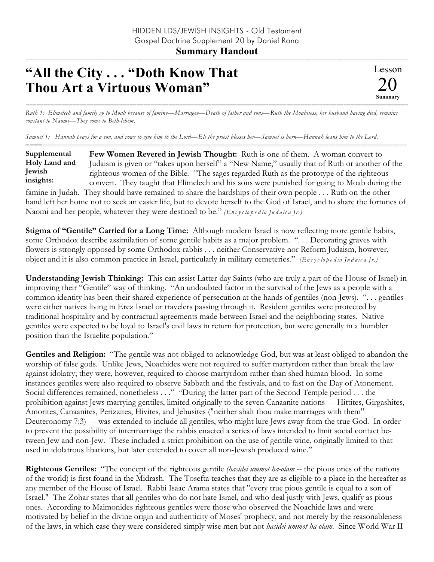## =========================================================================================================== **"All the City . . . "Doth Know That Thou Art a Virtuous Woman"**

=========================================================================================================== *Ruth 1; Elimelech and family go to Moab because of famine—Marriages—Death of father and sons—Ruth the Moabitess, her husband having died, remains constant to Naomi—They come to Beth-lehem.*

*Samuel 1; Hannah prays for a son, and vows to give him to the Lord—Eli the priest blesses her—Samuel is born—Hannah loans him to the Lord.*

========================================================================================================== **Few Women Revered in Jewish Thought:** Ruth is one of them. A woman convert to Judaism is given or "takes upon herself" a "New Name," usually that of Ruth or another of the righteous women of the Bible. "The sages regarded Ruth as the prototype of the righteous convert. They taught that Elimelech and his sons were punished for going to Moab during the famine in Judah. They should have remained to share the hardships of their own people . . . Ruth on the other hand left her home not to seek an easier life, but to devote herself to the God of Israel, and to share the fortunes of **Supplemental Holy Land and Jewish insights:**

Naomi and her people, whatever they were destined to be." *(En c y c lo p e d ia Ju d a ic a Jr.)*

**Stigma of "Gentile" Carried for a Long Time:** Although modern Israel is now reflecting more gentile habits, some Orthodox describe assimilation of some gentile habits as a major problem. ". . . Decorating graves with flowers is strongly opposed by some Orthodox rabbis . . . neither Conservative nor Reform Judaism, however, object and it is also common practice in Israel, particularly in military cemeteries." *(En c y c lo p e d ia Ju d a ic a Jr.)*

**Understanding Jewish Thinking:** This can assist Latter-day Saints (who are truly a part of the House of Israel) in improving their "Gentile" way of thinking. "An undoubted factor in the survival of the Jews as a people with a common identity has been their shared experience of persecution at the hands of gentiles (non-Jews). ". . . gentiles were either natives living in Erez Israel or travelers passing through it. Resident gentiles were protected by traditional hospitality and by contractual agreements made between Israel and the neighboring states. Native gentiles were expected to be loyal to Israel's civil laws in return for protection, but were generally in a humbler position than the Israelite population."

**Gentiles and Religion:** "The gentile was not obliged to acknowledge God, but was at least obliged to abandon the worship of false gods. Unlike Jews, Noachides were not required to suffer martyrdom rather than break the law against idolatry; they were, however, required to choose martyrdom rather than shed human blood. In some instances gentiles were also required to observe Sabbath and the festivals, and to fast on the Day of Atonement. Social differences remained, nonetheless . . ." "During the latter part of the Second Temple period . . . the prohibition against Jews marrying gentiles, limited originally to the seven Canaanite nations --- Hittites, Girgashites, Amorites, Canaanites, Perizzites, Hivites, and Jebusites ("neither shalt thou make marriages with them" Deuteronomy 7:3) --- was extended to include all gentiles, who might lure Jews away from the true God. In order to prevent the possibility of intermarriage the rabbis enacted a series of laws intended to limit social contact between Jew and non-Jew. These included a strict prohibition on the use of gentile wine, originally limited to that used in idolatrous libations, but later extended to cover all non-Jewish produced wine."

**Righteous Gentiles:** "The concept of the righteous gentile *(hasidei ummot ha-olam* -- the pious ones of the nations of the world) is first found in the Midrash. The Tosefta teaches that they are as eligible to a place in the hereafter as any member of the House of Israel. Rabbi Isaac Arama states that "every true pious gentile is equal to a son of Israel." The Zohar states that all gentiles who do not hate Israel, and who deal justly with Jews, qualify as pious ones. According to Maimonides righteous gentiles were those who observed the Noachide laws and were motivated by belief in the divine origin and authenticity of Moses' prophecy, and not merely by the reasonableness of the laws, in which case they were considered simply wise men but not *hasidei ummot ha-olam.* Since World War II